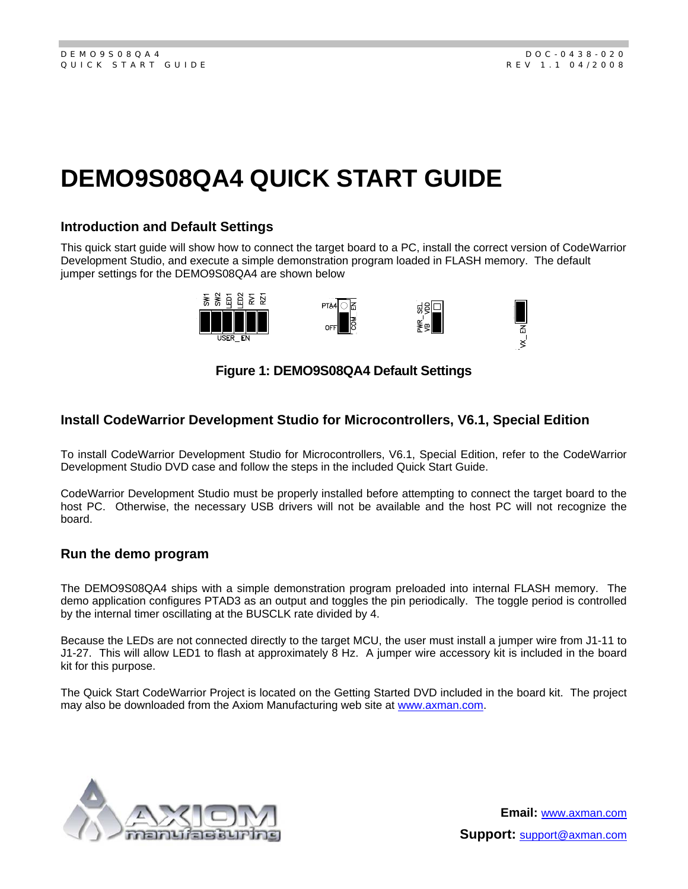# **DEMO9S08QA4 QUICK START GUIDE**

### **Introduction and Default Settings**

This quick start guide will show how to connect the target board to a PC, install the correct version of CodeWarrior Development Studio, and execute a simple demonstration program loaded in FLASH memory. The default jumper settings for the DEMO9S08QA4 are shown below



# **Figure 1: DEMO9S08QA4 Default Settings**

# **Install CodeWarrior Development Studio for Microcontrollers, V6.1, Special Edition**

To install CodeWarrior Development Studio for Microcontrollers, V6.1, Special Edition, refer to the CodeWarrior Development Studio DVD case and follow the steps in the included Quick Start Guide.

CodeWarrior Development Studio must be properly installed before attempting to connect the target board to the host PC. Otherwise, the necessary USB drivers will not be available and the host PC will not recognize the board.

#### **Run the demo program**

The DEMO9S08QA4 ships with a simple demonstration program preloaded into internal FLASH memory. The demo application configures PTAD3 as an output and toggles the pin periodically. The toggle period is controlled by the internal timer oscillating at the BUSCLK rate divided by 4.

Because the LEDs are not connected directly to the target MCU, the user must install a jumper wire from J1-11 to J1-27. This will allow LED1 to flash at approximately 8 Hz. A jumper wire accessory kit is included in the board kit for this purpose.

The Quick Start CodeWarrior Project is located on the Getting Started DVD included in the board kit. The project may also be downloaded from the Axiom Manufacturing web site at www.axman.com.



**Email:** www.axman.com **Support:** support@axman.com